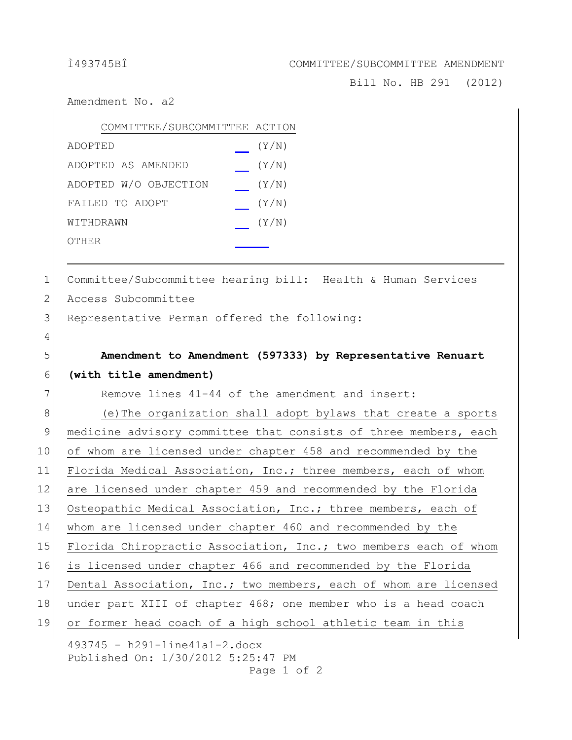## Ì493745BÎ COMMITTEE/SUBCOMMITTEE AMENDMENT

Bill No. HB 291 (2012)

Amendment No. a2

| COMMITTEE/SUBCOMMITTEE ACTION |       |
|-------------------------------|-------|
| ADOPTED                       | (Y/N) |
| ADOPTED AS AMENDED            | (Y/N) |
| ADOPTED W/O OBJECTION         | (Y/N) |
| FAILED TO ADOPT               | (Y/N) |
| WITHDRAWN                     | (Y/N) |
| OTHER                         |       |
|                               |       |

1 Committee/Subcommittee hearing bill: Health & Human Services

2 Access Subcommittee

4

3 Representative Perman offered the following:

5 **Amendment to Amendment (597333) by Representative Renuart** 6 **(with title amendment)**

 $7$  Remove lines  $41-44$  of the amendment and insert:

493745 - h291-line41a1-2.docx 8 (e)The organization shall adopt bylaws that create a sports 9 medicine advisory committee that consists of three members, each 10 of whom are licensed under chapter 458 and recommended by the 11 Florida Medical Association, Inc.; three members, each of whom 12 are licensed under chapter 459 and recommended by the Florida 13 Osteopathic Medical Association, Inc.; three members, each of 14 whom are licensed under chapter 460 and recommended by the 15 Florida Chiropractic Association, Inc.; two members each of whom 16 is licensed under chapter 466 and recommended by the Florida 17 Dental Association, Inc.; two members, each of whom are licensed 18 under part XIII of chapter 468; one member who is a head coach 19 or former head coach of a high school athletic team in this

Published On: 1/30/2012 5:25:47 PM Page 1 of 2